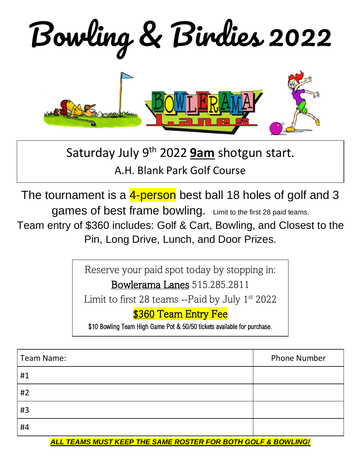Bowling & Birdies 2022



Saturday July 9 th 2022 **9am** shotgun start.

A.H. Blank Park Golf Course

The tournament is a 4-person best ball 18 holes of golf and 3

games of best frame bowling. Limit to the first 28 paid teams.

Team entry of \$360 includes: Golf & Cart, Bowling, and Closest to the Pin, Long Drive, Lunch, and Door Prizes.

> Reserve your paid spot today by stopping in: Bowlerama Lanes 515.285.2811

Limit to first 28 teams --Paid by July  $1<sup>st</sup> 2022$ 

## **\$360 Team Entry Fee**

\$10 Bowling Team High Game Pot & 50/50 tickets available for purchase.

| <b>Team Name:</b> | <b>Phone Number</b> |
|-------------------|---------------------|
| #1                |                     |
| #2                |                     |
| #3                |                     |
| #4                |                     |

*ALL TEAMS MUST KEEP THE SAME ROSTER FOR BOTH GOLF & BOWLING!*